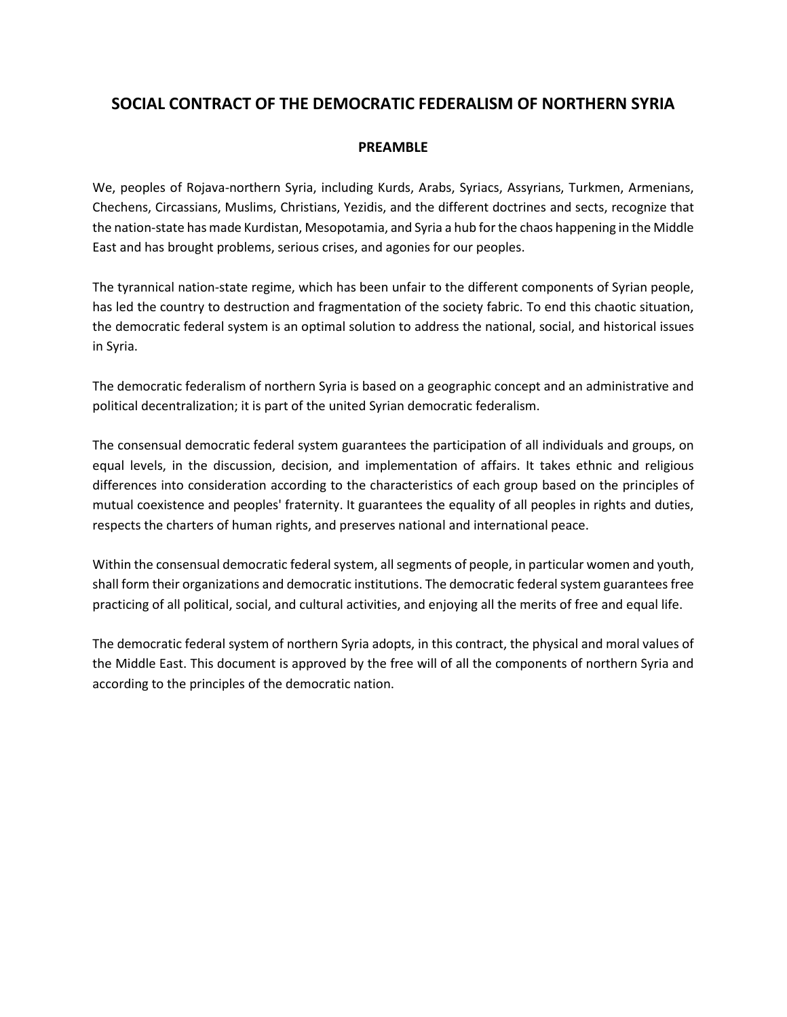# **SOCIAL CONTRACT OF THE DEMOCRATIC FEDERALISM OF NORTHERN SYRIA**

## **PREAMBLE**

We, peoples of Rojava-northern Syria, including Kurds, Arabs, Syriacs, Assyrians, Turkmen, Armenians, Chechens, Circassians, Muslims, Christians, Yezidis, and the different doctrines and sects, recognize that the nation-state has made Kurdistan, Mesopotamia, and Syria a hub for the chaos happening in the Middle East and has brought problems, serious crises, and agonies for our peoples.

The tyrannical nation-state regime, which has been unfair to the different components of Syrian people, has led the country to destruction and fragmentation of the society fabric. To end this chaotic situation, the democratic federal system is an optimal solution to address the national, social, and historical issues in Syria.

The democratic federalism of northern Syria is based on a geographic concept and an administrative and political decentralization; it is part of the united Syrian democratic federalism.

The consensual democratic federal system guarantees the participation of all individuals and groups, on equal levels, in the discussion, decision, and implementation of affairs. It takes ethnic and religious differences into consideration according to the characteristics of each group based on the principles of mutual coexistence and peoples' fraternity. It guarantees the equality of all peoples in rights and duties, respects the charters of human rights, and preserves national and international peace.

Within the consensual democratic federal system, all segments of people, in particular women and youth, shall form their organizations and democratic institutions. The democratic federal system guarantees free practicing of all political, social, and cultural activities, and enjoying all the merits of free and equal life.

The democratic federal system of northern Syria adopts, in this contract, the physical and moral values of the Middle East. This document is approved by the free will of all the components of northern Syria and according to the principles of the democratic nation.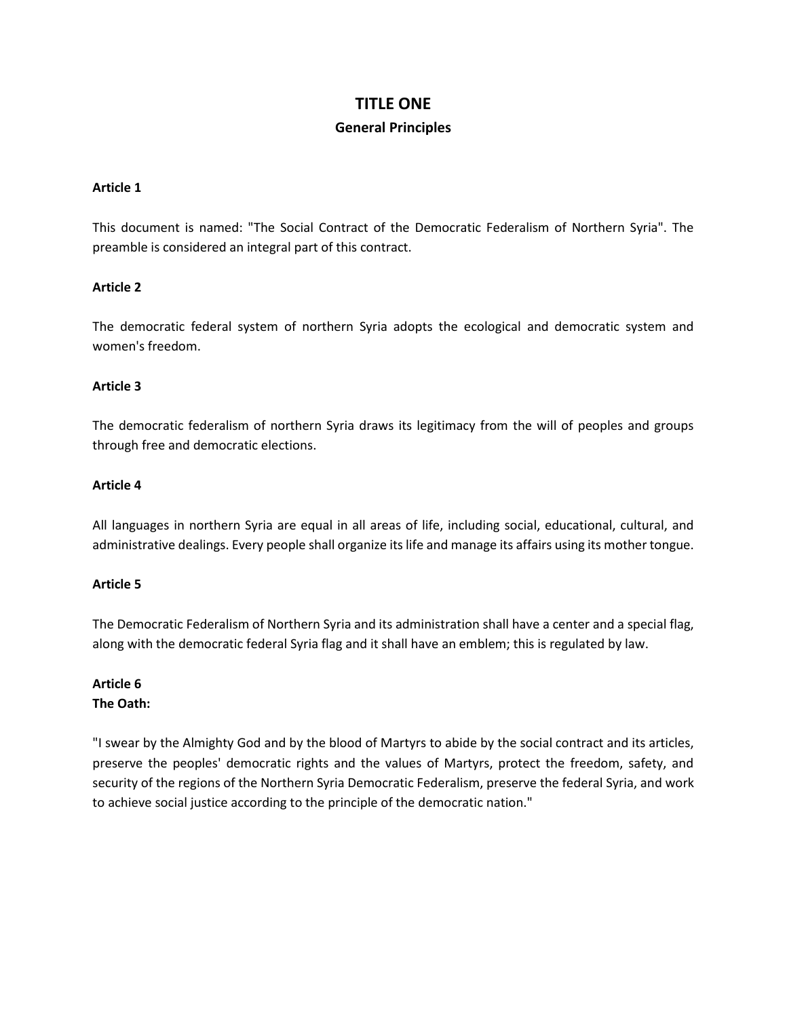# **TITLE ONE General Principles**

#### **Article 1**

This document is named: "The Social Contract of the Democratic Federalism of Northern Syria". The preamble is considered an integral part of this contract.

## **Article 2**

The democratic federal system of northern Syria adopts the ecological and democratic system and women's freedom.

#### **Article 3**

The democratic federalism of northern Syria draws its legitimacy from the will of peoples and groups through free and democratic elections.

#### **Article 4**

All languages in northern Syria are equal in all areas of life, including social, educational, cultural, and administrative dealings. Every people shall organize its life and manage its affairs using its mother tongue.

## **Article 5**

The Democratic Federalism of Northern Syria and its administration shall have a center and a special flag, along with the democratic federal Syria flag and it shall have an emblem; this is regulated by law.

## **Article 6 The Oath:**

"I swear by the Almighty God and by the blood of Martyrs to abide by the social contract and its articles, preserve the peoples' democratic rights and the values of Martyrs, protect the freedom, safety, and security of the regions of the Northern Syria Democratic Federalism, preserve the federal Syria, and work to achieve social justice according to the principle of the democratic nation."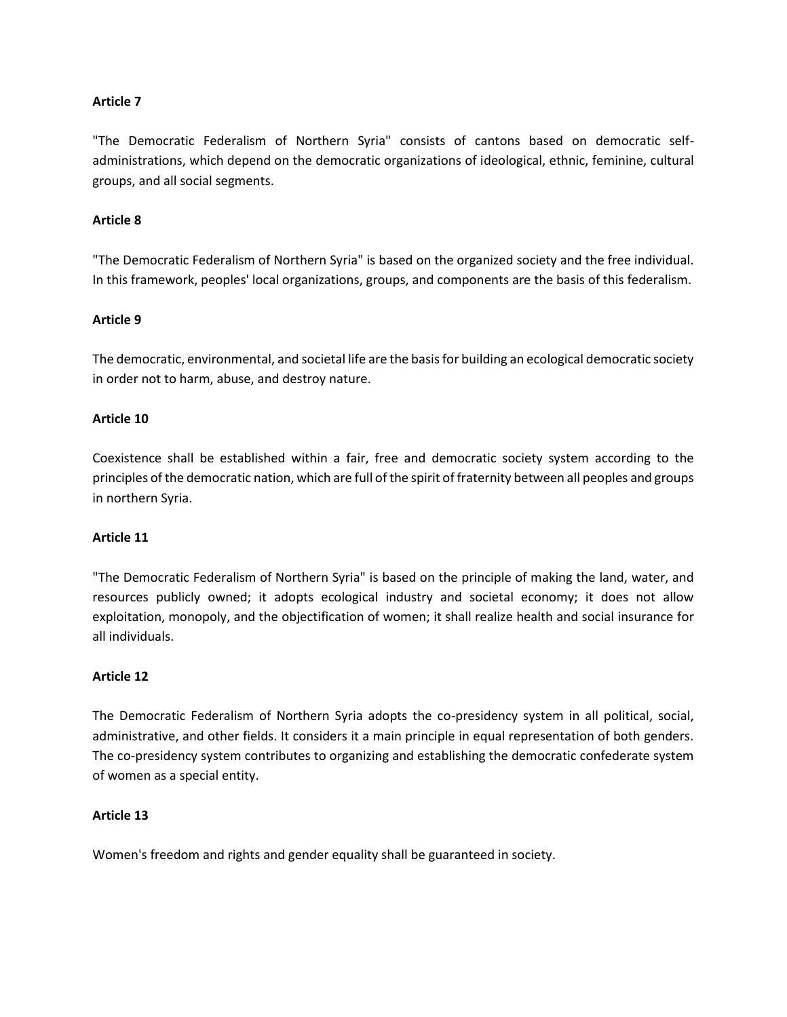"The Democratic Federalism of Northern Syria" consists of cantons based on democratic selfadministrations, which depend on the democratic organizations of ideological, ethnic, feminine, cultural groups, and all social segments.

### **Article 8**

"The Democratic Federalism of Northern Syria" is based on the organized society and the free individual. In this framework, peoples' local organizations, groups, and components are the basis of this federalism.

#### **Article 9**

The democratic, environmental, and societal life are the basis for building an ecological democratic society in order not to harm, abuse, and destroy nature.

#### **Article 10**

Coexistence shall be established within a fair, free and democratic society system according to the principles of the democratic nation, which are full of the spirit of fraternity between all peoples and groups in northern Syria.

## **Article 11**

"The Democratic Federalism of Northern Syria" is based on the principle of making the land, water, and resources publicly owned; it adopts ecological industry and societal economy; it does not allow exploitation, monopoly, and the objectification of women; it shall realize health and social insurance for all individuals.

## **Article 12**

The Democratic Federalism of Northern Syria adopts the co-presidency system in all political, social, administrative, and other fields. It considers it a main principle in equal representation of both genders. The co-presidency system contributes to organizing and establishing the democratic confederate system of women as a special entity.

#### **Article 13**

Women's freedom and rights and gender equality shall be guaranteed in society.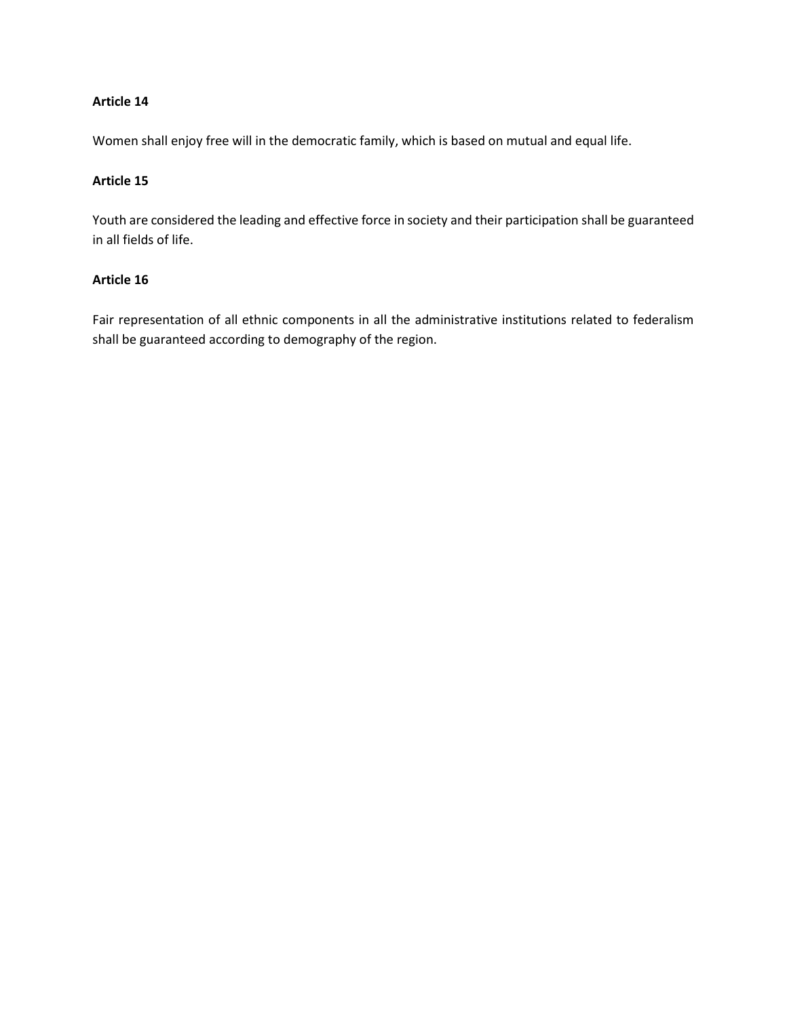Women shall enjoy free will in the democratic family, which is based on mutual and equal life.

## **Article 15**

Youth are considered the leading and effective force in society and their participation shall be guaranteed in all fields of life.

## **Article 16**

Fair representation of all ethnic components in all the administrative institutions related to federalism shall be guaranteed according to demography of the region.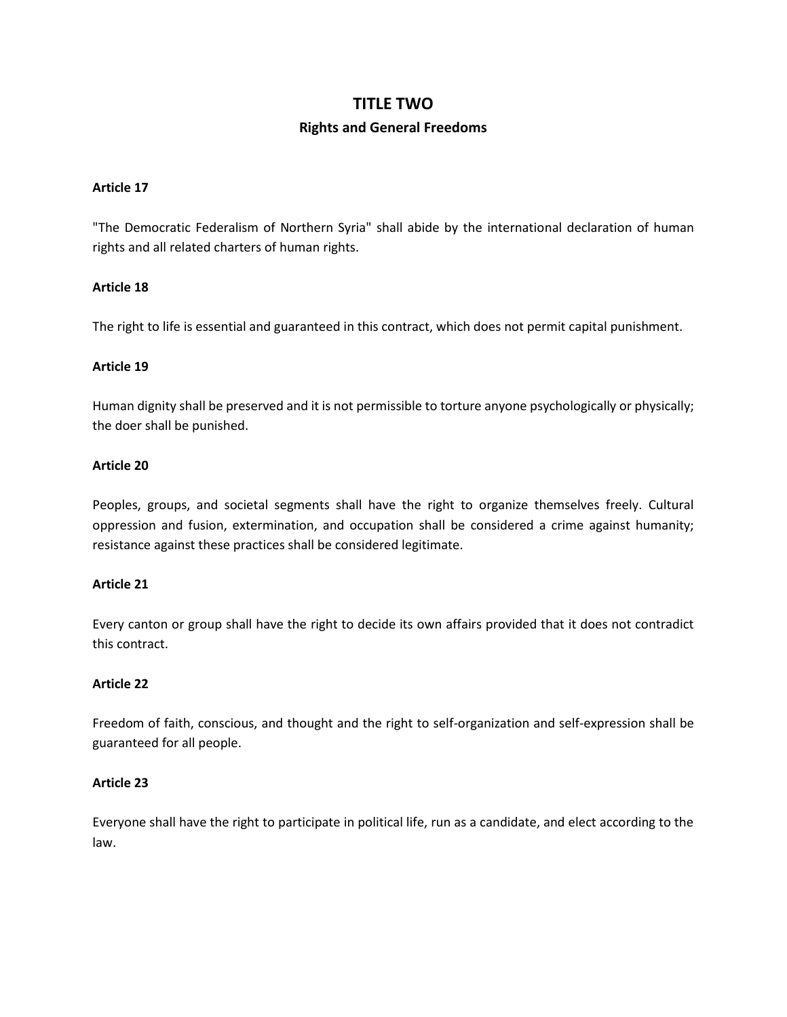# **TITLE TWO Rights and General Freedoms**

#### **Article 17**

"The Democratic Federalism of Northern Syria" shall abide by the international declaration of human rights and all related charters of human rights.

## **Article 18**

The right to life is essential and guaranteed in this contract, which does not permit capital punishment.

#### **Article 19**

Human dignity shall be preserved and it is not permissible to torture anyone psychologically or physically; the doer shall be punished.

## **Article 20**

Peoples, groups, and societal segments shall have the right to organize themselves freely. Cultural oppression and fusion, extermination, and occupation shall be considered a crime against humanity; resistance against these practices shall be considered legitimate.

#### **Article 21**

Every canton or group shall have the right to decide its own affairs provided that it does not contradict this contract.

## **Article 22**

Freedom of faith, conscious, and thought and the right to self-organization and self-expression shall be guaranteed for all people.

## **Article 23**

Everyone shall have the right to participate in political life, run as a candidate, and elect according to the law.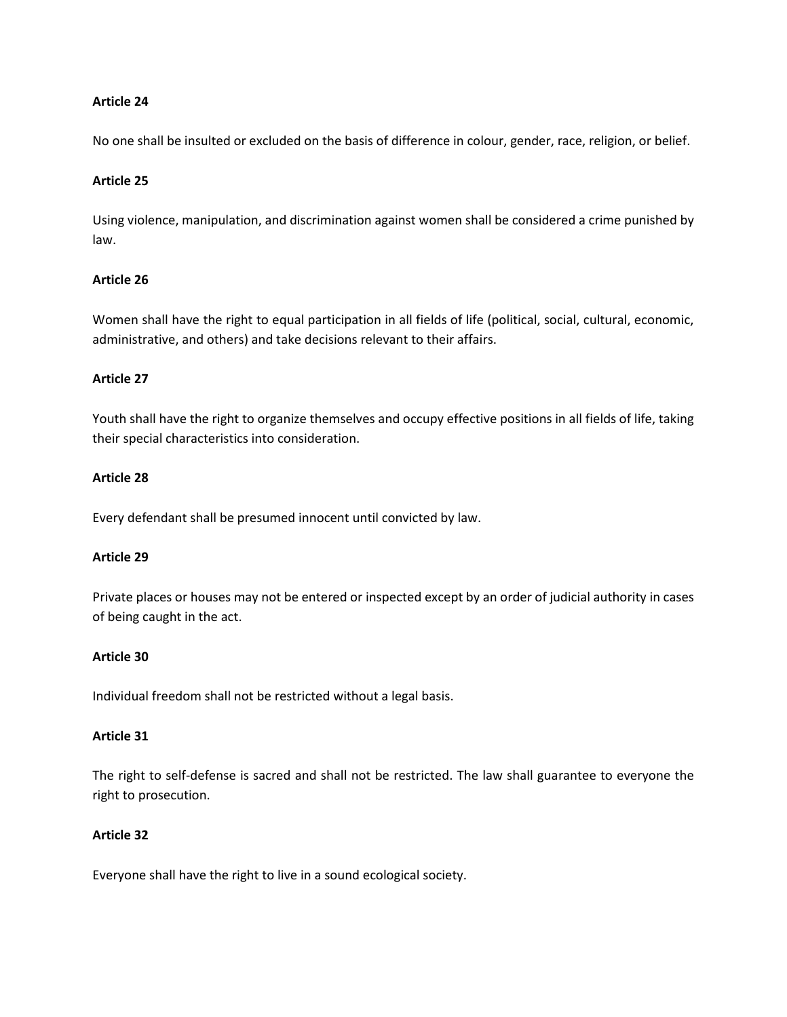No one shall be insulted or excluded on the basis of difference in colour, gender, race, religion, or belief.

#### **Article 25**

Using violence, manipulation, and discrimination against women shall be considered a crime punished by law.

### **Article 26**

Women shall have the right to equal participation in all fields of life (political, social, cultural, economic, administrative, and others) and take decisions relevant to their affairs.

#### **Article 27**

Youth shall have the right to organize themselves and occupy effective positions in all fields of life, taking their special characteristics into consideration.

#### **Article 28**

Every defendant shall be presumed innocent until convicted by law.

#### **Article 29**

Private places or houses may not be entered or inspected except by an order of judicial authority in cases of being caught in the act.

#### **Article 30**

Individual freedom shall not be restricted without a legal basis.

## **Article 31**

The right to self-defense is sacred and shall not be restricted. The law shall guarantee to everyone the right to prosecution.

## **Article 32**

Everyone shall have the right to live in a sound ecological society.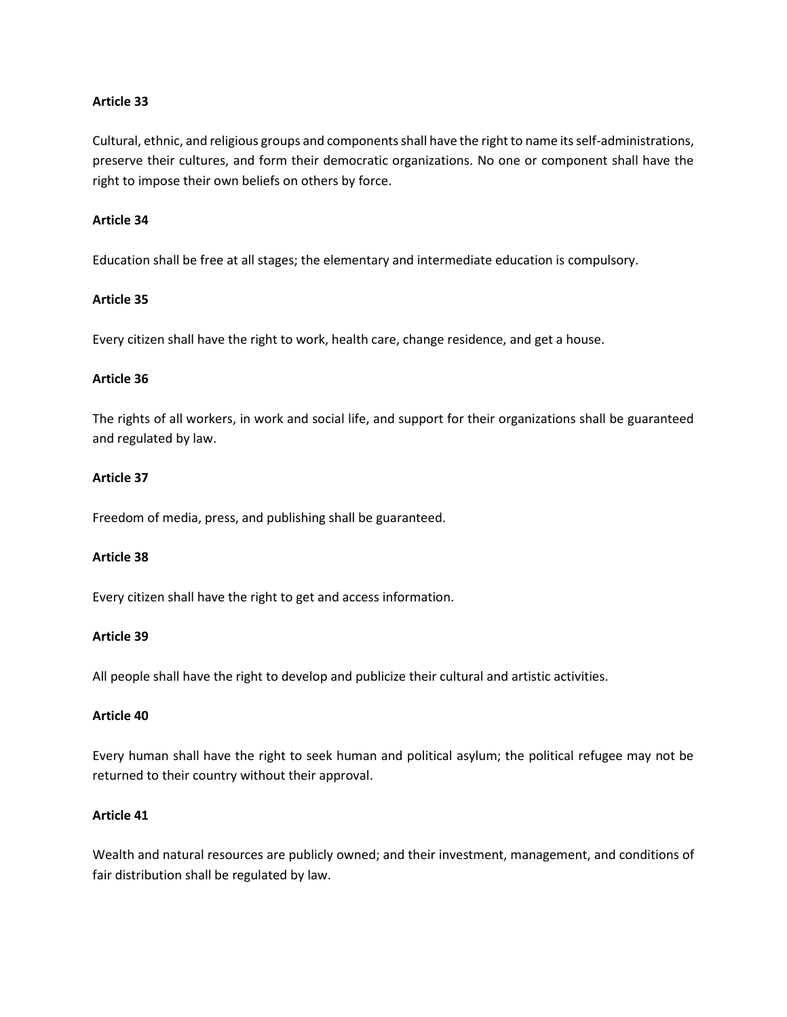Cultural, ethnic, and religious groups and components shall have the right to name its self-administrations, preserve their cultures, and form their democratic organizations. No one or component shall have the right to impose their own beliefs on others by force.

#### **Article 34**

Education shall be free at all stages; the elementary and intermediate education is compulsory.

## **Article 35**

Every citizen shall have the right to work, health care, change residence, and get a house.

#### **Article 36**

The rights of all workers, in work and social life, and support for their organizations shall be guaranteed and regulated by law.

#### **Article 37**

Freedom of media, press, and publishing shall be guaranteed.

#### **Article 38**

Every citizen shall have the right to get and access information.

#### **Article 39**

All people shall have the right to develop and publicize their cultural and artistic activities.

#### **Article 40**

Every human shall have the right to seek human and political asylum; the political refugee may not be returned to their country without their approval.

## **Article 41**

Wealth and natural resources are publicly owned; and their investment, management, and conditions of fair distribution shall be regulated by law.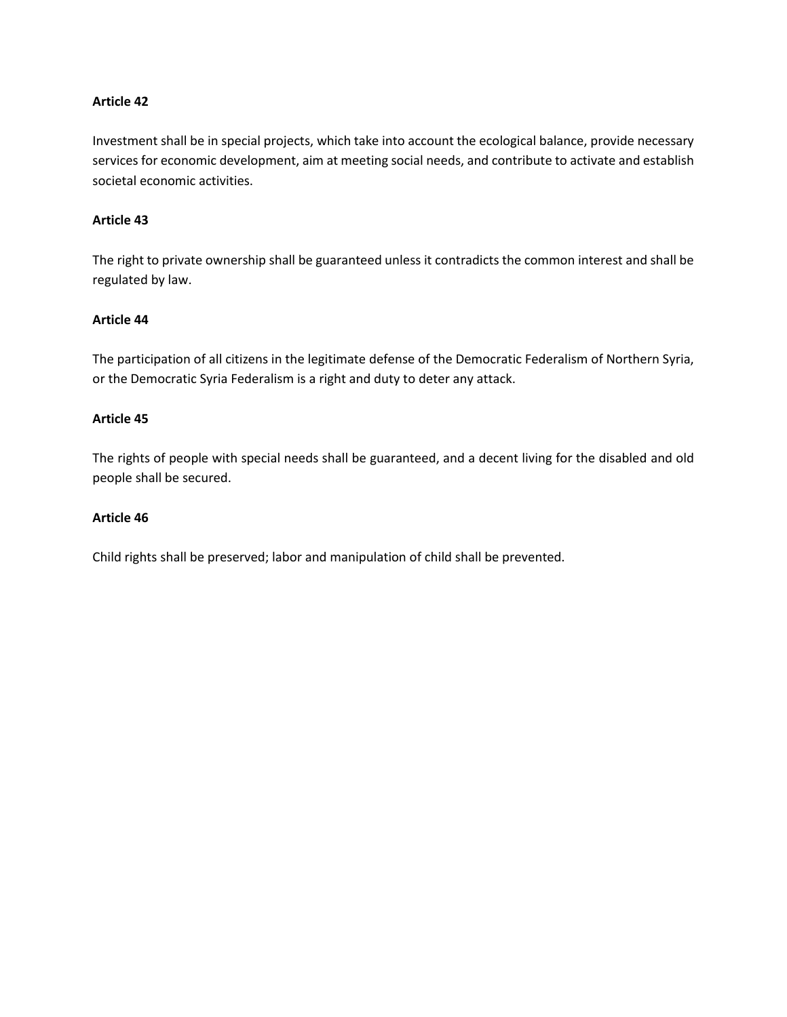Investment shall be in special projects, which take into account the ecological balance, provide necessary services for economic development, aim at meeting social needs, and contribute to activate and establish societal economic activities.

## **Article 43**

The right to private ownership shall be guaranteed unless it contradicts the common interest and shall be regulated by law.

## **Article 44**

The participation of all citizens in the legitimate defense of the Democratic Federalism of Northern Syria, or the Democratic Syria Federalism is a right and duty to deter any attack.

#### **Article 45**

The rights of people with special needs shall be guaranteed, and a decent living for the disabled and old people shall be secured.

## **Article 46**

Child rights shall be preserved; labor and manipulation of child shall be prevented.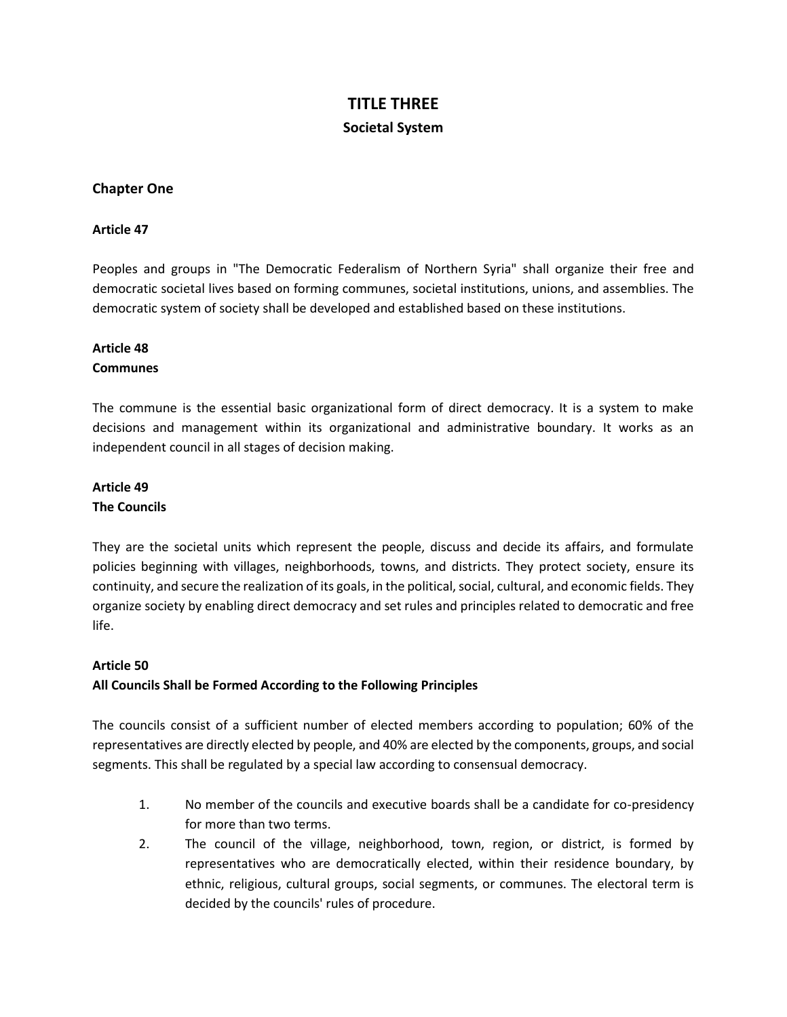# **TITLE THREE Societal System**

## **Chapter One**

## **Article 47**

Peoples and groups in "The Democratic Federalism of Northern Syria" shall organize their free and democratic societal lives based on forming communes, societal institutions, unions, and assemblies. The democratic system of society shall be developed and established based on these institutions.

## **Article 48**

## **Communes**

The commune is the essential basic organizational form of direct democracy. It is a system to make decisions and management within its organizational and administrative boundary. It works as an independent council in all stages of decision making.

# **Article 49 The Councils**

They are the societal units which represent the people, discuss and decide its affairs, and formulate policies beginning with villages, neighborhoods, towns, and districts. They protect society, ensure its continuity, and secure the realization of its goals, in the political, social, cultural, and economic fields. They organize society by enabling direct democracy and set rules and principles related to democratic and free life.

## **Article 50**

## **All Councils Shall be Formed According to the Following Principles**

The councils consist of a sufficient number of elected members according to population; 60% of the representatives are directly elected by people, and 40% are elected by the components, groups, and social segments. This shall be regulated by a special law according to consensual democracy.

- 1. No member of the councils and executive boards shall be a candidate for co-presidency for more than two terms.
- 2. The council of the village, neighborhood, town, region, or district, is formed by representatives who are democratically elected, within their residence boundary, by ethnic, religious, cultural groups, social segments, or communes. The electoral term is decided by the councils' rules of procedure.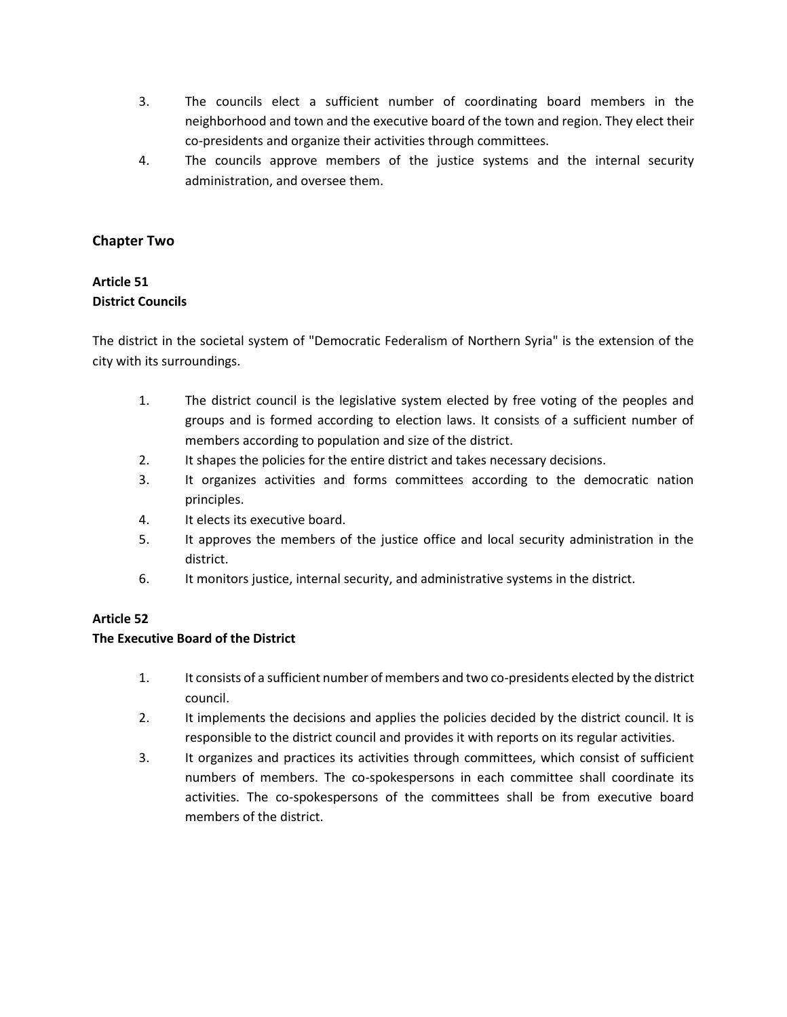- 3. The councils elect a sufficient number of coordinating board members in the neighborhood and town and the executive board of the town and region. They elect their co-presidents and organize their activities through committees.
- 4. The councils approve members of the justice systems and the internal security administration, and oversee them.

## **Chapter Two**

## **Article 51 District Councils**

The district in the societal system of "Democratic Federalism of Northern Syria" is the extension of the city with its surroundings.

- 1. The district council is the legislative system elected by free voting of the peoples and groups and is formed according to election laws. It consists of a sufficient number of members according to population and size of the district.
- 2. It shapes the policies for the entire district and takes necessary decisions.
- 3. It organizes activities and forms committees according to the democratic nation principles.
- 4. It elects its executive board.
- 5. It approves the members of the justice office and local security administration in the district.
- 6. It monitors justice, internal security, and administrative systems in the district.

## **Article 52**

## **The Executive Board of the District**

- 1. It consists of a sufficient number of members and two co-presidents elected by the district council.
- 2. It implements the decisions and applies the policies decided by the district council. It is responsible to the district council and provides it with reports on its regular activities.
- 3. It organizes and practices its activities through committees, which consist of sufficient numbers of members. The co-spokespersons in each committee shall coordinate its activities. The co-spokespersons of the committees shall be from executive board members of the district.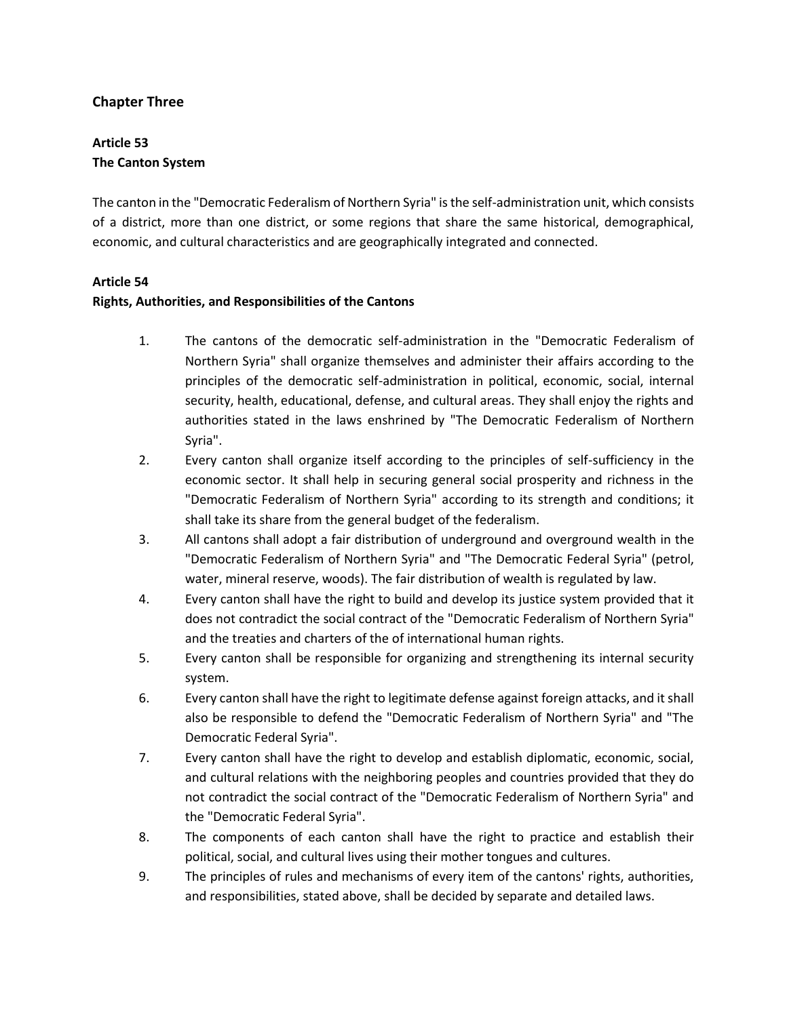## **Chapter Three**

# **Article 53 The Canton System**

The canton in the "Democratic Federalism of Northern Syria" is the self-administration unit, which consists of a district, more than one district, or some regions that share the same historical, demographical, economic, and cultural characteristics and are geographically integrated and connected.

## **Article 54**

## **Rights, Authorities, and Responsibilities of the Cantons**

- 1. The cantons of the democratic self-administration in the "Democratic Federalism of Northern Syria" shall organize themselves and administer their affairs according to the principles of the democratic self-administration in political, economic, social, internal security, health, educational, defense, and cultural areas. They shall enjoy the rights and authorities stated in the laws enshrined by "The Democratic Federalism of Northern Syria".
- 2. Every canton shall organize itself according to the principles of self-sufficiency in the economic sector. It shall help in securing general social prosperity and richness in the "Democratic Federalism of Northern Syria" according to its strength and conditions; it shall take its share from the general budget of the federalism.
- 3. All cantons shall adopt a fair distribution of underground and overground wealth in the "Democratic Federalism of Northern Syria" and "The Democratic Federal Syria" (petrol, water, mineral reserve, woods). The fair distribution of wealth is regulated by law.
- 4. Every canton shall have the right to build and develop its justice system provided that it does not contradict the social contract of the "Democratic Federalism of Northern Syria" and the treaties and charters of the of international human rights.
- 5. Every canton shall be responsible for organizing and strengthening its internal security system.
- 6. Every canton shall have the right to legitimate defense against foreign attacks, and it shall also be responsible to defend the "Democratic Federalism of Northern Syria" and "The Democratic Federal Syria".
- 7. Every canton shall have the right to develop and establish diplomatic, economic, social, and cultural relations with the neighboring peoples and countries provided that they do not contradict the social contract of the "Democratic Federalism of Northern Syria" and the "Democratic Federal Syria".
- 8. The components of each canton shall have the right to practice and establish their political, social, and cultural lives using their mother tongues and cultures.
- 9. The principles of rules and mechanisms of every item of the cantons' rights, authorities, and responsibilities, stated above, shall be decided by separate and detailed laws.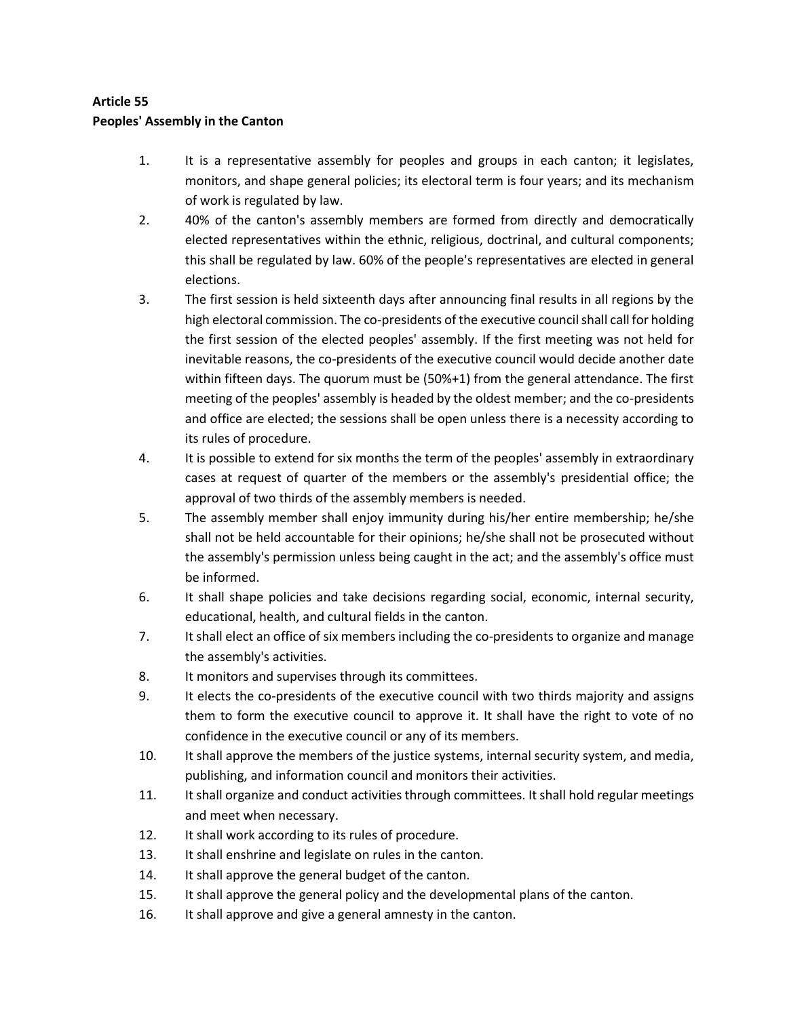# **Article 55 Peoples' Assembly in the Canton**

- 1. It is a representative assembly for peoples and groups in each canton; it legislates, monitors, and shape general policies; its electoral term is four years; and its mechanism of work is regulated by law.
- 2. 40% of the canton's assembly members are formed from directly and democratically elected representatives within the ethnic, religious, doctrinal, and cultural components; this shall be regulated by law. 60% of the people's representatives are elected in general elections.
- 3. The first session is held sixteenth days after announcing final results in all regions by the high electoral commission. The co-presidents of the executive council shall call for holding the first session of the elected peoples' assembly. If the first meeting was not held for inevitable reasons, the co-presidents of the executive council would decide another date within fifteen days. The quorum must be (50%+1) from the general attendance. The first meeting of the peoples' assembly is headed by the oldest member; and the co-presidents and office are elected; the sessions shall be open unless there is a necessity according to its rules of procedure.
- 4. It is possible to extend for six months the term of the peoples' assembly in extraordinary cases at request of quarter of the members or the assembly's presidential office; the approval of two thirds of the assembly members is needed.
- 5. The assembly member shall enjoy immunity during his/her entire membership; he/she shall not be held accountable for their opinions; he/she shall not be prosecuted without the assembly's permission unless being caught in the act; and the assembly's office must be informed.
- 6. It shall shape policies and take decisions regarding social, economic, internal security, educational, health, and cultural fields in the canton.
- 7. It shall elect an office of six members including the co-presidents to organize and manage the assembly's activities.
- 8. It monitors and supervises through its committees.
- 9. It elects the co-presidents of the executive council with two thirds majority and assigns them to form the executive council to approve it. It shall have the right to vote of no confidence in the executive council or any of its members.
- 10. It shall approve the members of the justice systems, internal security system, and media, publishing, and information council and monitors their activities.
- 11. It shall organize and conduct activities through committees. It shall hold regular meetings and meet when necessary.
- 12. It shall work according to its rules of procedure.
- 13. It shall enshrine and legislate on rules in the canton.
- 14. It shall approve the general budget of the canton.
- 15. It shall approve the general policy and the developmental plans of the canton.
- 16. It shall approve and give a general amnesty in the canton.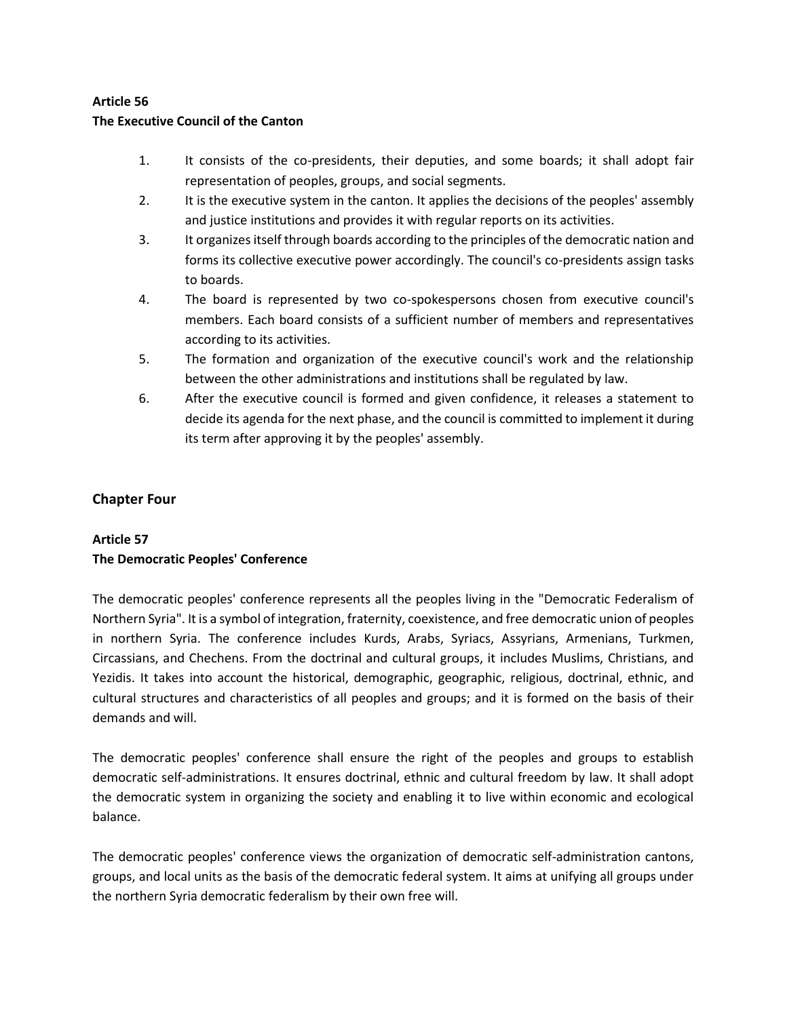## **The Executive Council of the Canton**

- 1. It consists of the co-presidents, their deputies, and some boards; it shall adopt fair representation of peoples, groups, and social segments.
- 2. It is the executive system in the canton. It applies the decisions of the peoples' assembly and justice institutions and provides it with regular reports on its activities.
- 3. It organizes itself through boards according to the principles of the democratic nation and forms its collective executive power accordingly. The council's co-presidents assign tasks to boards.
- 4. The board is represented by two co-spokespersons chosen from executive council's members. Each board consists of a sufficient number of members and representatives according to its activities.
- 5. The formation and organization of the executive council's work and the relationship between the other administrations and institutions shall be regulated by law.
- 6. After the executive council is formed and given confidence, it releases a statement to decide its agenda for the next phase, and the council is committed to implement it during its term after approving it by the peoples' assembly.

# **Chapter Four**

# **Article 57 The Democratic Peoples' Conference**

The democratic peoples' conference represents all the peoples living in the "Democratic Federalism of Northern Syria". It is a symbol of integration, fraternity, coexistence, and free democratic union of peoples in northern Syria. The conference includes Kurds, Arabs, Syriacs, Assyrians, Armenians, Turkmen, Circassians, and Chechens. From the doctrinal and cultural groups, it includes Muslims, Christians, and Yezidis. It takes into account the historical, demographic, geographic, religious, doctrinal, ethnic, and cultural structures and characteristics of all peoples and groups; and it is formed on the basis of their demands and will.

The democratic peoples' conference shall ensure the right of the peoples and groups to establish democratic self-administrations. It ensures doctrinal, ethnic and cultural freedom by law. It shall adopt the democratic system in organizing the society and enabling it to live within economic and ecological balance.

The democratic peoples' conference views the organization of democratic self-administration cantons, groups, and local units as the basis of the democratic federal system. It aims at unifying all groups under the northern Syria democratic federalism by their own free will.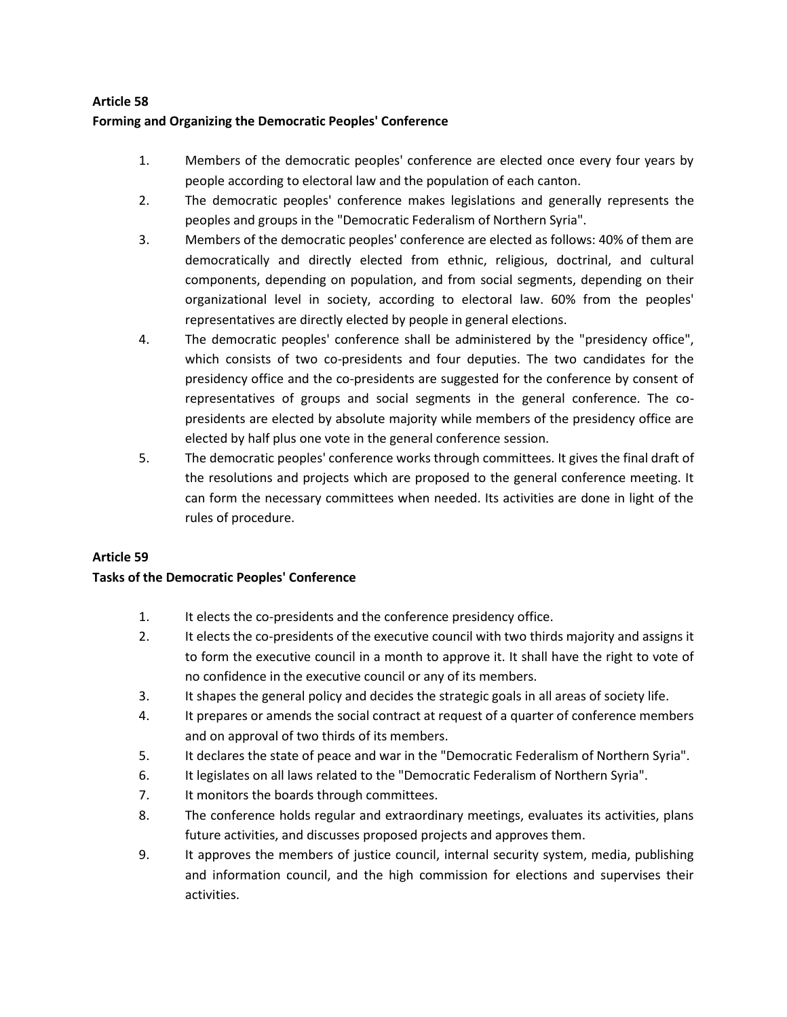## **Forming and Organizing the Democratic Peoples' Conference**

- 1. Members of the democratic peoples' conference are elected once every four years by people according to electoral law and the population of each canton.
- 2. The democratic peoples' conference makes legislations and generally represents the peoples and groups in the "Democratic Federalism of Northern Syria".
- 3. Members of the democratic peoples' conference are elected as follows: 40% of them are democratically and directly elected from ethnic, religious, doctrinal, and cultural components, depending on population, and from social segments, depending on their organizational level in society, according to electoral law. 60% from the peoples' representatives are directly elected by people in general elections.
- 4. The democratic peoples' conference shall be administered by the "presidency office", which consists of two co-presidents and four deputies. The two candidates for the presidency office and the co-presidents are suggested for the conference by consent of representatives of groups and social segments in the general conference. The copresidents are elected by absolute majority while members of the presidency office are elected by half plus one vote in the general conference session.
- 5. The democratic peoples' conference works through committees. It gives the final draft of the resolutions and projects which are proposed to the general conference meeting. It can form the necessary committees when needed. Its activities are done in light of the rules of procedure.

## **Article 59**

## **Tasks of the Democratic Peoples' Conference**

- 1. It elects the co-presidents and the conference presidency office.
- 2. It elects the co-presidents of the executive council with two thirds majority and assigns it to form the executive council in a month to approve it. It shall have the right to vote of no confidence in the executive council or any of its members.
- 3. It shapes the general policy and decides the strategic goals in all areas of society life.
- 4. It prepares or amends the social contract at request of a quarter of conference members and on approval of two thirds of its members.
- 5. It declares the state of peace and war in the "Democratic Federalism of Northern Syria".
- 6. It legislates on all laws related to the "Democratic Federalism of Northern Syria".
- 7. It monitors the boards through committees.
- 8. The conference holds regular and extraordinary meetings, evaluates its activities, plans future activities, and discusses proposed projects and approves them.
- 9. It approves the members of justice council, internal security system, media, publishing and information council, and the high commission for elections and supervises their activities.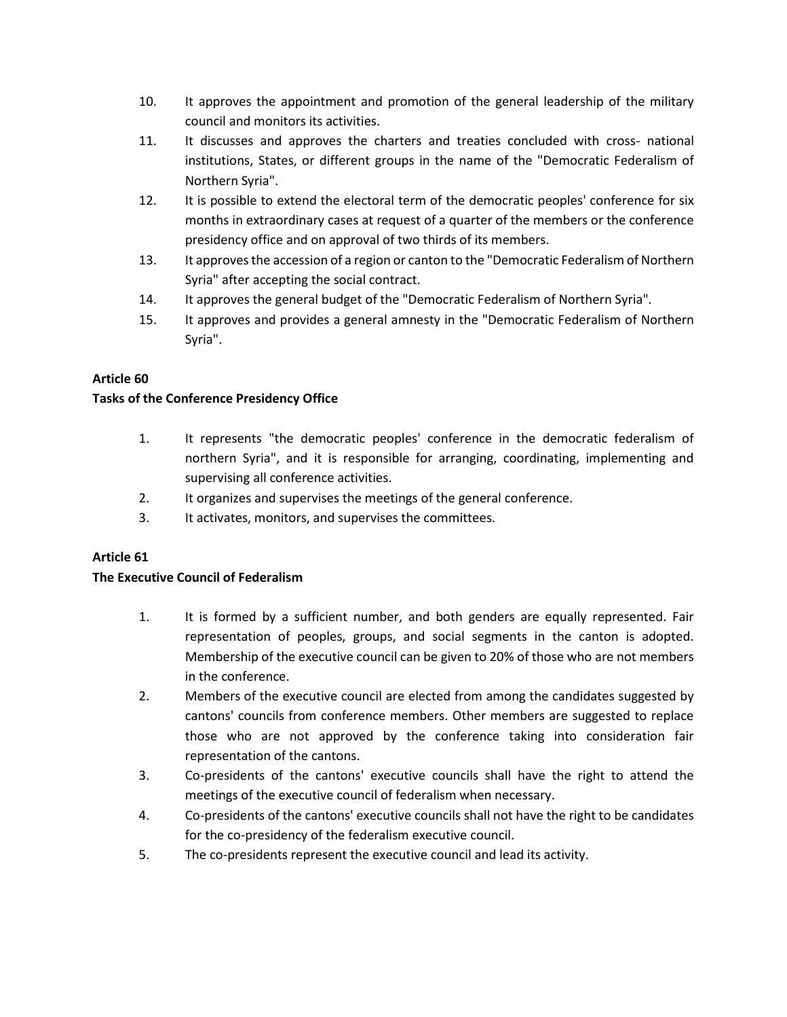- 10. It approves the appointment and promotion of the general leadership of the military council and monitors its activities.
- 11. It discusses and approves the charters and treaties concluded with cross- national institutions, States, or different groups in the name of the "Democratic Federalism of Northern Syria".
- 12. It is possible to extend the electoral term of the democratic peoples' conference for six months in extraordinary cases at request of a quarter of the members or the conference presidency office and on approval of two thirds of its members.
- 13. It approves the accession of a region or canton to the "Democratic Federalism of Northern Syria" after accepting the social contract.
- 14. It approves the general budget of the "Democratic Federalism of Northern Syria".
- 15. It approves and provides a general amnesty in the "Democratic Federalism of Northern Syria".

## **Tasks of the Conference Presidency Office**

- 1. It represents "the democratic peoples' conference in the democratic federalism of northern Syria", and it is responsible for arranging, coordinating, implementing and supervising all conference activities.
- 2. It organizes and supervises the meetings of the general conference.
- 3. It activates, monitors, and supervises the committees.

## **Article 61**

## **The Executive Council of Federalism**

- 1. It is formed by a sufficient number, and both genders are equally represented. Fair representation of peoples, groups, and social segments in the canton is adopted. Membership of the executive council can be given to 20% of those who are not members in the conference.
- 2. Members of the executive council are elected from among the candidates suggested by cantons' councils from conference members. Other members are suggested to replace those who are not approved by the conference taking into consideration fair representation of the cantons.
- 3. Co-presidents of the cantons' executive councils shall have the right to attend the meetings of the executive council of federalism when necessary.
- 4. Co-presidents of the cantons' executive councils shall not have the right to be candidates for the co-presidency of the federalism executive council.
- 5. The co-presidents represent the executive council and lead its activity.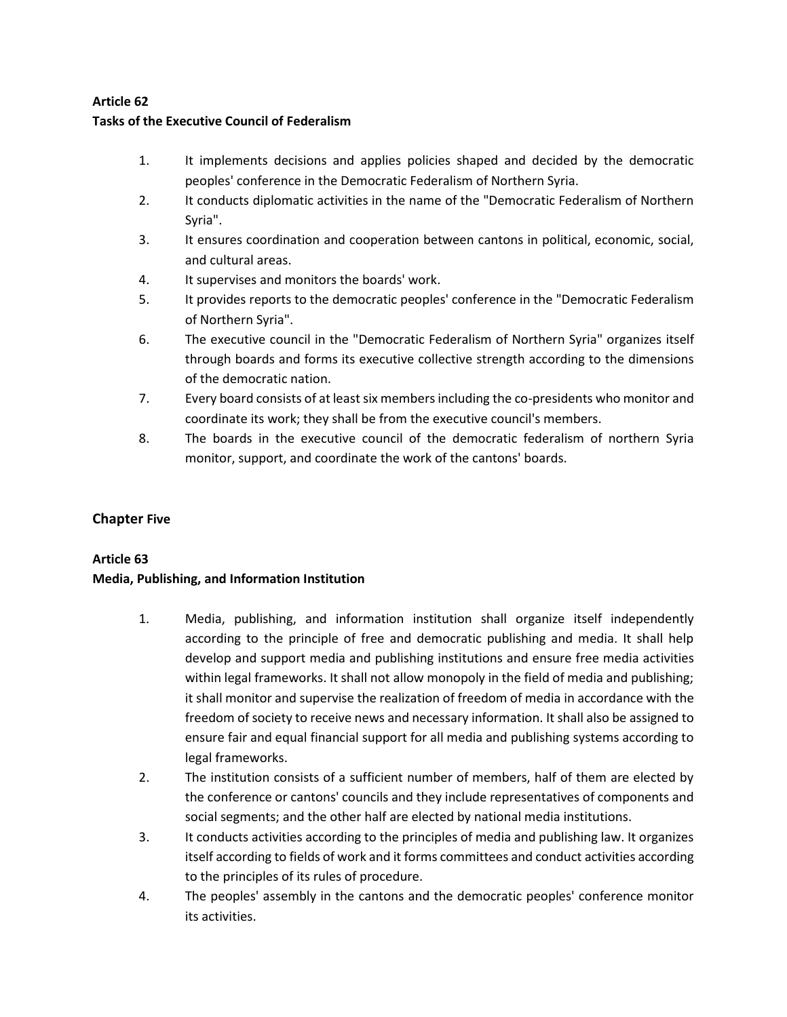# **Tasks of the Executive Council of Federalism**

- 1. It implements decisions and applies policies shaped and decided by the democratic peoples' conference in the Democratic Federalism of Northern Syria.
- 2. It conducts diplomatic activities in the name of the "Democratic Federalism of Northern Syria".
- 3. It ensures coordination and cooperation between cantons in political, economic, social, and cultural areas.
- 4. It supervises and monitors the boards' work.
- 5. It provides reports to the democratic peoples' conference in the "Democratic Federalism of Northern Syria".
- 6. The executive council in the "Democratic Federalism of Northern Syria" organizes itself through boards and forms its executive collective strength according to the dimensions of the democratic nation.
- 7. Every board consists of at least six members including the co-presidents who monitor and coordinate its work; they shall be from the executive council's members.
- 8. The boards in the executive council of the democratic federalism of northern Syria monitor, support, and coordinate the work of the cantons' boards.

## **Chapter Five**

## **Article 63**

## **Media, Publishing, and Information Institution**

- 1. Media, publishing, and information institution shall organize itself independently according to the principle of free and democratic publishing and media. It shall help develop and support media and publishing institutions and ensure free media activities within legal frameworks. It shall not allow monopoly in the field of media and publishing; it shall monitor and supervise the realization of freedom of media in accordance with the freedom of society to receive news and necessary information. It shall also be assigned to ensure fair and equal financial support for all media and publishing systems according to legal frameworks.
- 2. The institution consists of a sufficient number of members, half of them are elected by the conference or cantons' councils and they include representatives of components and social segments; and the other half are elected by national media institutions.
- 3. It conducts activities according to the principles of media and publishing law. It organizes itself according to fields of work and it forms committees and conduct activities according to the principles of its rules of procedure.
- 4. The peoples' assembly in the cantons and the democratic peoples' conference monitor its activities.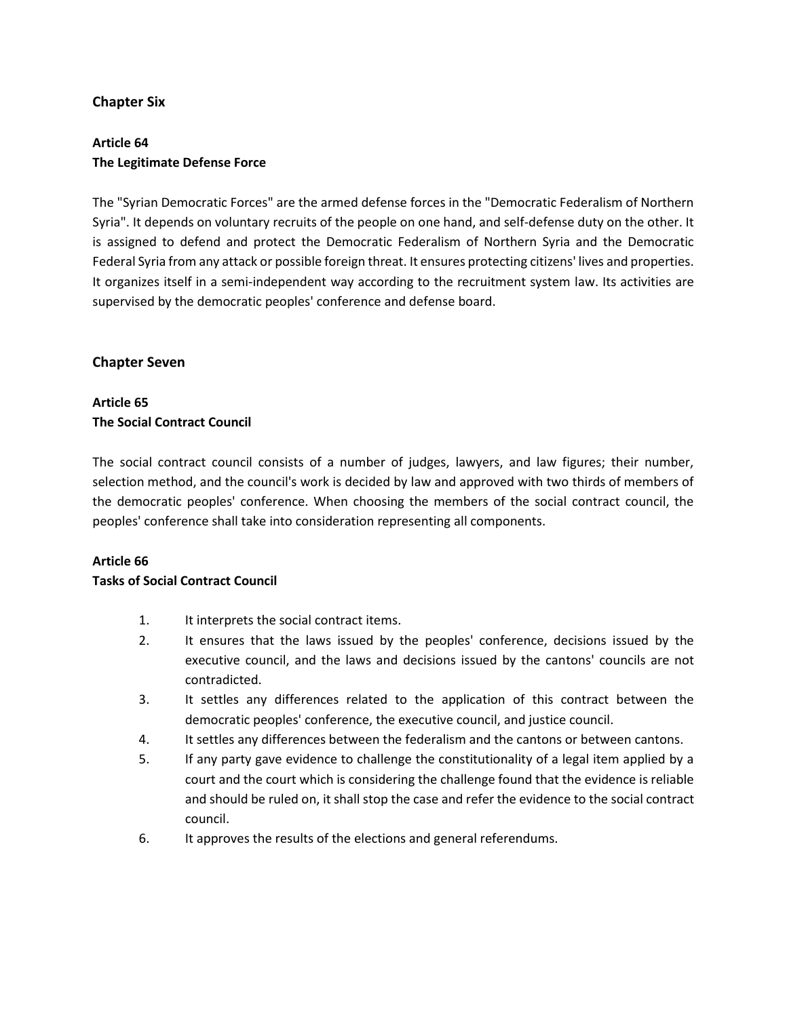## **Chapter Six**

# **Article 64 The Legitimate Defense Force**

The "Syrian Democratic Forces" are the armed defense forces in the "Democratic Federalism of Northern Syria". It depends on voluntary recruits of the people on one hand, and self-defense duty on the other. It is assigned to defend and protect the Democratic Federalism of Northern Syria and the Democratic Federal Syria from any attack or possible foreign threat. It ensures protecting citizens' lives and properties. It organizes itself in a semi-independent way according to the recruitment system law. Its activities are supervised by the democratic peoples' conference and defense board.

## **Chapter Seven**

## **Article 65 The Social Contract Council**

The social contract council consists of a number of judges, lawyers, and law figures; their number, selection method, and the council's work is decided by law and approved with two thirds of members of the democratic peoples' conference. When choosing the members of the social contract council, the peoples' conference shall take into consideration representing all components.

## **Article 66**

## **Tasks of Social Contract Council**

- 1. It interprets the social contract items.
- 2. It ensures that the laws issued by the peoples' conference, decisions issued by the executive council, and the laws and decisions issued by the cantons' councils are not contradicted.
- 3. It settles any differences related to the application of this contract between the democratic peoples' conference, the executive council, and justice council.
- 4. It settles any differences between the federalism and the cantons or between cantons.
- 5. If any party gave evidence to challenge the constitutionality of a legal item applied by a court and the court which is considering the challenge found that the evidence is reliable and should be ruled on, it shall stop the case and refer the evidence to the social contract council.
- 6. It approves the results of the elections and general referendums.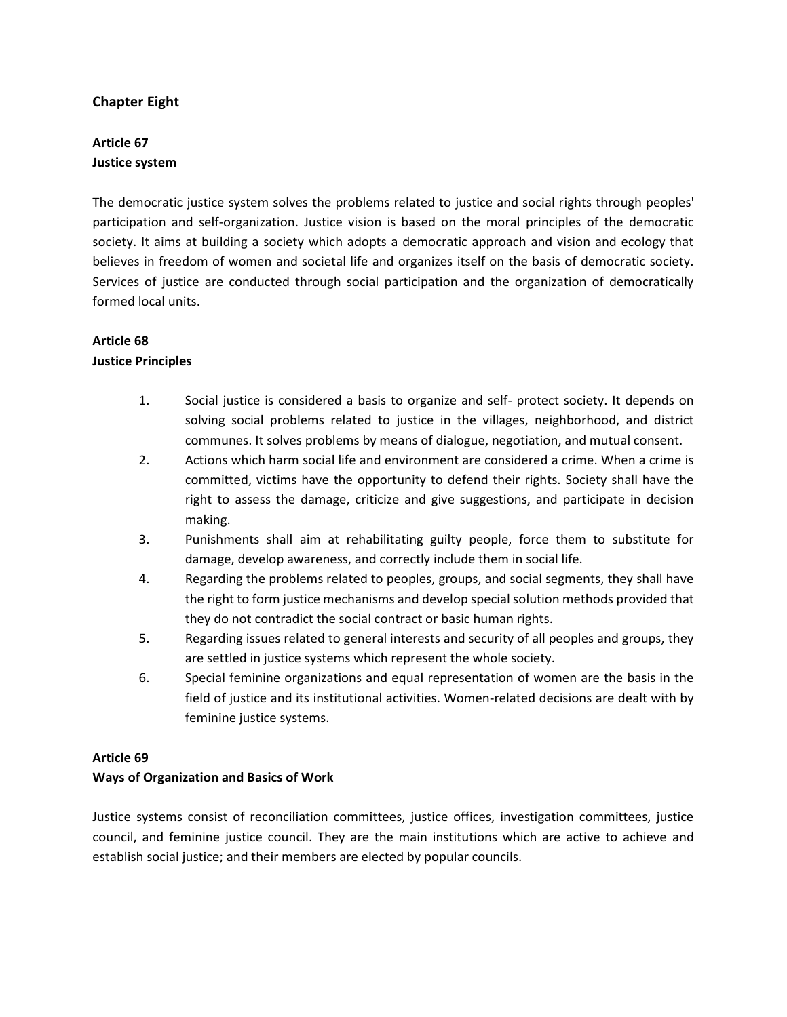## **Chapter Eight**

# **Article 67 Justice system**

The democratic justice system solves the problems related to justice and social rights through peoples' participation and self-organization. Justice vision is based on the moral principles of the democratic society. It aims at building a society which adopts a democratic approach and vision and ecology that believes in freedom of women and societal life and organizes itself on the basis of democratic society. Services of justice are conducted through social participation and the organization of democratically formed local units.

# **Article 68**

## **Justice Principles**

- 1. Social justice is considered a basis to organize and self- protect society. It depends on solving social problems related to justice in the villages, neighborhood, and district communes. It solves problems by means of dialogue, negotiation, and mutual consent.
- 2. Actions which harm social life and environment are considered a crime. When a crime is committed, victims have the opportunity to defend their rights. Society shall have the right to assess the damage, criticize and give suggestions, and participate in decision making.
- 3. Punishments shall aim at rehabilitating guilty people, force them to substitute for damage, develop awareness, and correctly include them in social life.
- 4. Regarding the problems related to peoples, groups, and social segments, they shall have the right to form justice mechanisms and develop special solution methods provided that they do not contradict the social contract or basic human rights.
- 5. Regarding issues related to general interests and security of all peoples and groups, they are settled in justice systems which represent the whole society.
- 6. Special feminine organizations and equal representation of women are the basis in the field of justice and its institutional activities. Women-related decisions are dealt with by feminine justice systems.

## **Article 69**

## **Ways of Organization and Basics of Work**

Justice systems consist of reconciliation committees, justice offices, investigation committees, justice council, and feminine justice council. They are the main institutions which are active to achieve and establish social justice; and their members are elected by popular councils.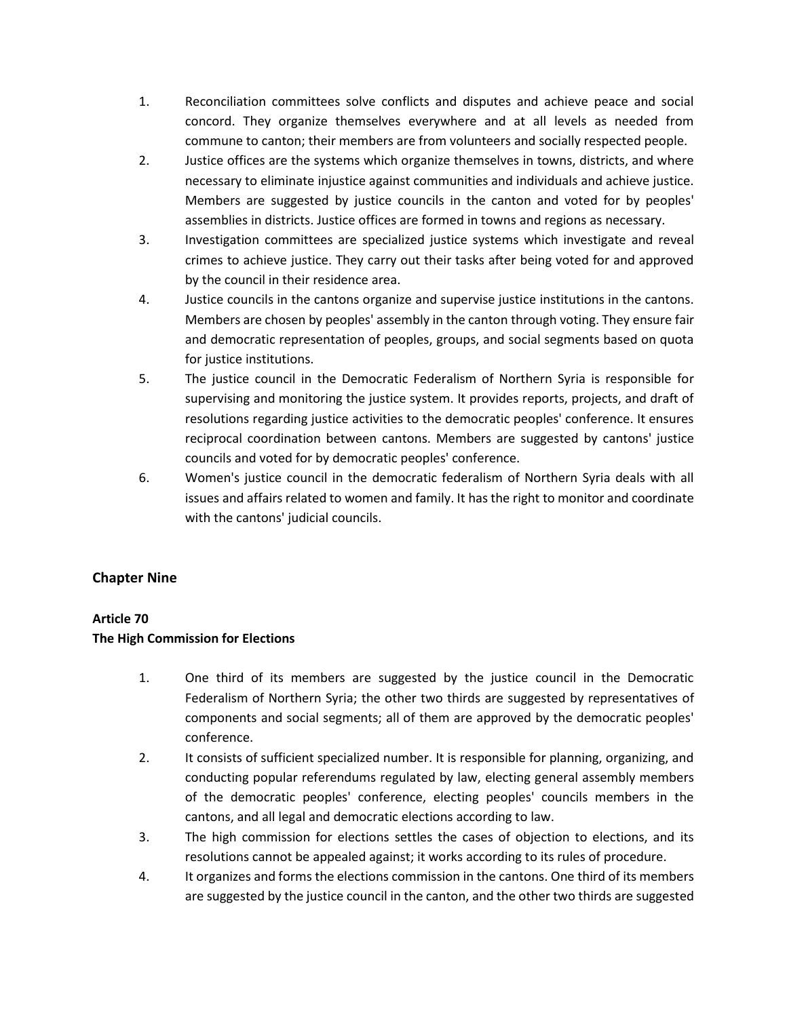- 1. Reconciliation committees solve conflicts and disputes and achieve peace and social concord. They organize themselves everywhere and at all levels as needed from commune to canton; their members are from volunteers and socially respected people.
- 2. Justice offices are the systems which organize themselves in towns, districts, and where necessary to eliminate injustice against communities and individuals and achieve justice. Members are suggested by justice councils in the canton and voted for by peoples' assemblies in districts. Justice offices are formed in towns and regions as necessary.
- 3. Investigation committees are specialized justice systems which investigate and reveal crimes to achieve justice. They carry out their tasks after being voted for and approved by the council in their residence area.
- 4. Justice councils in the cantons organize and supervise justice institutions in the cantons. Members are chosen by peoples' assembly in the canton through voting. They ensure fair and democratic representation of peoples, groups, and social segments based on quota for justice institutions.
- 5. The justice council in the Democratic Federalism of Northern Syria is responsible for supervising and monitoring the justice system. It provides reports, projects, and draft of resolutions regarding justice activities to the democratic peoples' conference. It ensures reciprocal coordination between cantons. Members are suggested by cantons' justice councils and voted for by democratic peoples' conference.
- 6. Women's justice council in the democratic federalism of Northern Syria deals with all issues and affairs related to women and family. It has the right to monitor and coordinate with the cantons' judicial councils.

# **Chapter Nine**

## **Article 70**

## **The High Commission for Elections**

- 1. One third of its members are suggested by the justice council in the Democratic Federalism of Northern Syria; the other two thirds are suggested by representatives of components and social segments; all of them are approved by the democratic peoples' conference.
- 2. It consists of sufficient specialized number. It is responsible for planning, organizing, and conducting popular referendums regulated by law, electing general assembly members of the democratic peoples' conference, electing peoples' councils members in the cantons, and all legal and democratic elections according to law.
- 3. The high commission for elections settles the cases of objection to elections, and its resolutions cannot be appealed against; it works according to its rules of procedure.
- 4. It organizes and forms the elections commission in the cantons. One third of its members are suggested by the justice council in the canton, and the other two thirds are suggested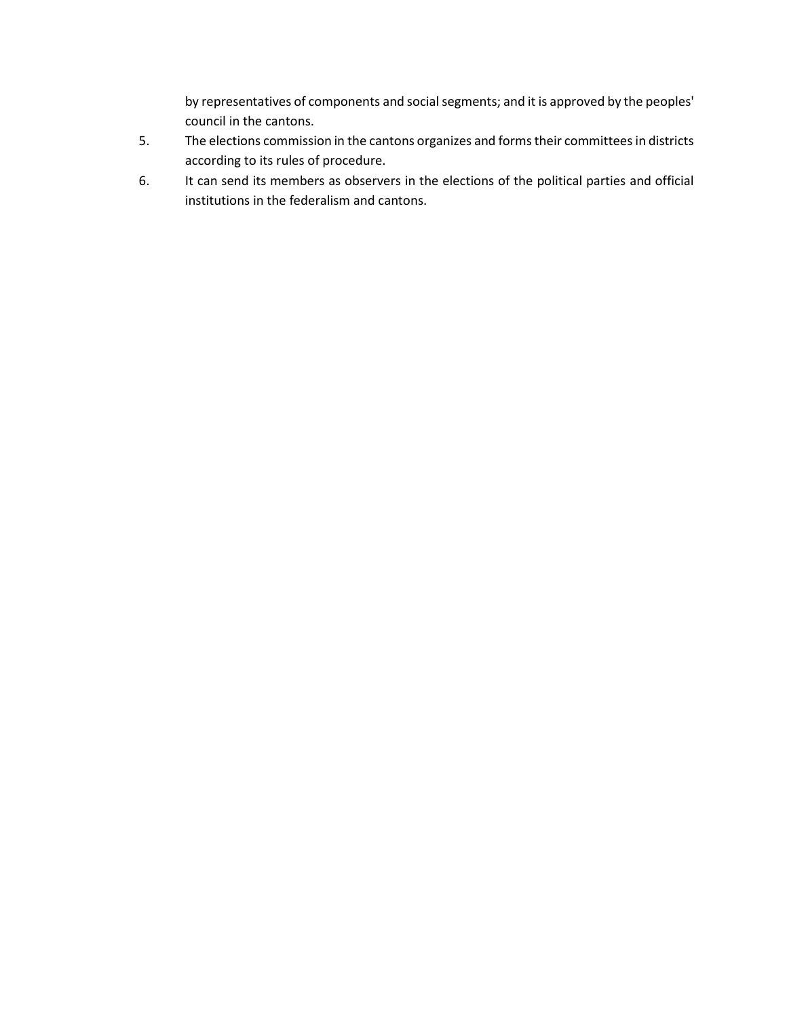by representatives of components and social segments; and it is approved by the peoples' council in the cantons.

- 5. The elections commission in the cantons organizes and forms their committees in districts according to its rules of procedure.
- 6. It can send its members as observers in the elections of the political parties and official institutions in the federalism and cantons.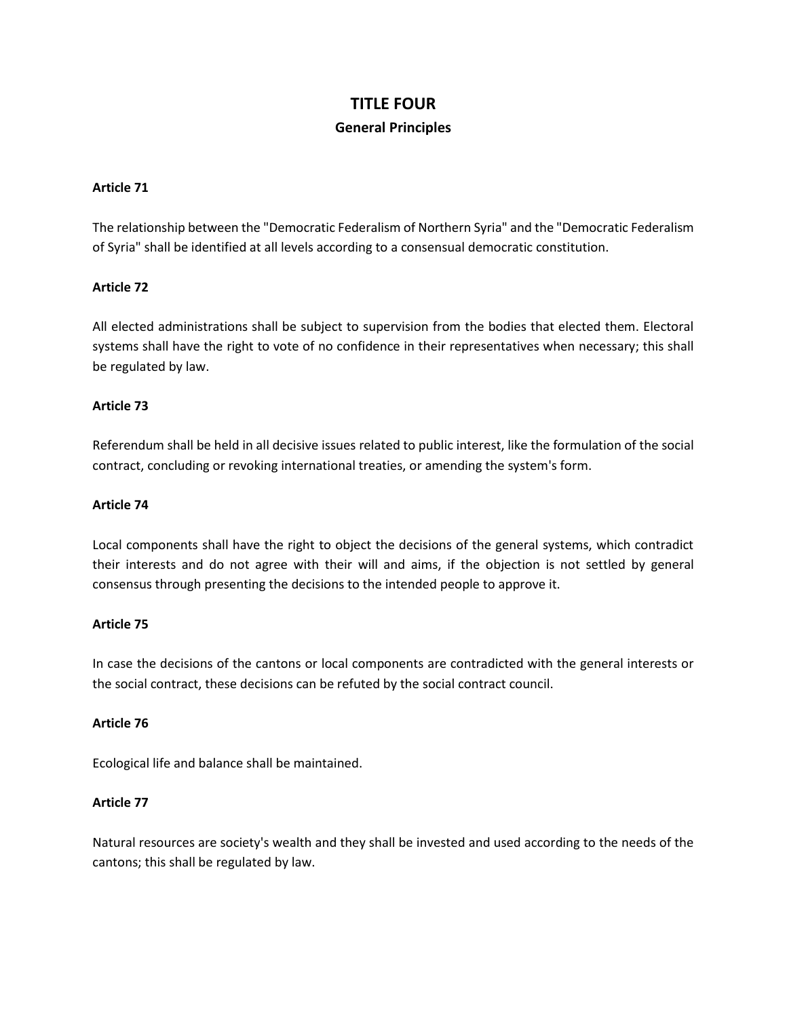# **TITLE FOUR General Principles**

### **Article 71**

The relationship between the "Democratic Federalism of Northern Syria" and the "Democratic Federalism of Syria" shall be identified at all levels according to a consensual democratic constitution.

#### **Article 72**

All elected administrations shall be subject to supervision from the bodies that elected them. Electoral systems shall have the right to vote of no confidence in their representatives when necessary; this shall be regulated by law.

#### **Article 73**

Referendum shall be held in all decisive issues related to public interest, like the formulation of the social contract, concluding or revoking international treaties, or amending the system's form.

#### **Article 74**

Local components shall have the right to object the decisions of the general systems, which contradict their interests and do not agree with their will and aims, if the objection is not settled by general consensus through presenting the decisions to the intended people to approve it.

#### **Article 75**

In case the decisions of the cantons or local components are contradicted with the general interests or the social contract, these decisions can be refuted by the social contract council.

#### **Article 76**

Ecological life and balance shall be maintained.

#### **Article 77**

Natural resources are society's wealth and they shall be invested and used according to the needs of the cantons; this shall be regulated by law.